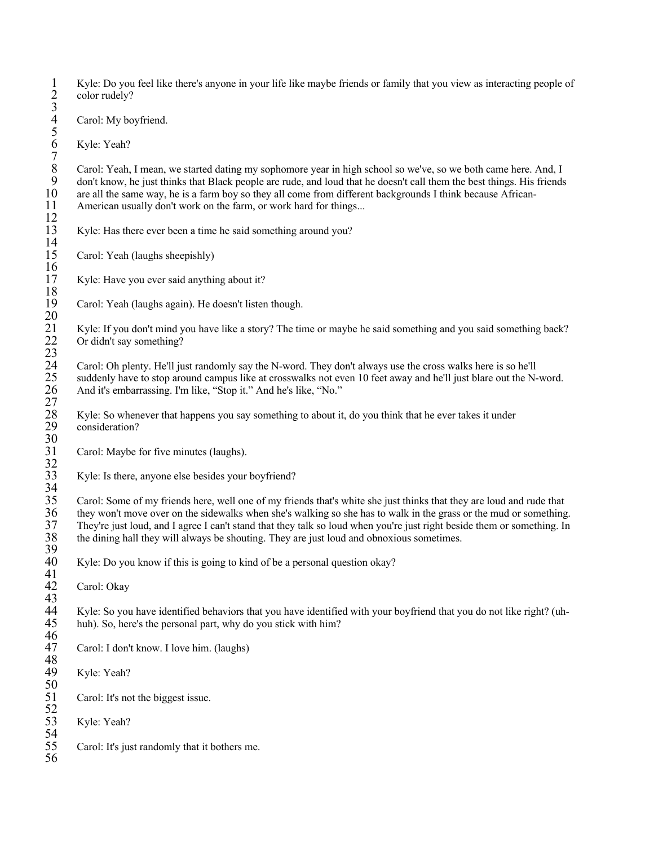1 Kyle: Do you feel like there's anyone in your life like maybe friends or family that you view as interacting people of color rudely?

Carol: My boyfriend.

Kyle: Yeah?

Carol: Yeah, I mean, we started dating my sophomore year in high school so we've, so we both came here. And, I 9 don't know, he just thinks that Black people are rude, and loud that he doesn't call them the best things. His friends 10 are all the same way, he is a farm boy so they all come from different backgrounds I think because 10 are all the same way, he is a farm boy so they all come from different backgrounds I think because African-<br>11 American usually don't work on the farm, or work hard for things... American usually don't work on the farm, or work hard for things...

Kyle: Has there ever been a time he said something around you?

Carol: Yeah (laughs sheepishly)

Kyle: Have you ever said anything about it?

Carol: Yeah (laughs again). He doesn't listen though.

21 Kyle: If you don't mind you have like a story? The time or maybe he said something and you said something back? Or didn't say something?

24 Carol: Oh plenty. He'll just randomly say the N-word. They don't always use the cross walks here is so he'll suddenly have to stop around campus like at crosswalks not even 10 feet away and he'll just blare out the N-word. And it's embarrassing. I'm like, "Stop it." And he's like, "No."

28 Kyle: So whenever that happens you say something to about it, do you think that he ever takes it under consideration? consideration?

Carol: Maybe for five minutes (laughs).

Kyle: Is there, anyone else besides your boyfriend?

35 Carol: Some of my friends here, well one of my friends that's white she just thinks that they are loud and rude that<br>36 they won't move over on the sidewalks when she's walking so she has to walk in the grass or the mud 36 they won't move over on the sidewalks when she's walking so she has to walk in the grass or the mud or something. 37 They're just loud, and I agree I can't stand that they talk so loud when you're just right beside them or something. In the dining hall they will always be shouting. They are just loud and obnoxious sometimes. 38 the dining hall they will always be shouting. They are just loud and obnoxious sometimes.

Kyle: Do you know if this is going to kind of be a personal question okay?

Carol: Okay

Kyle: So you have identified behaviors that you have identified with your boyfriend that you do not like right? (uhhuh). So, here's the personal part, why do you stick with him?

Carol: I don't know. I love him. (laughs)

Kyle: Yeah?

Carol: It's not the biggest issue.

Kyle: Yeah?

Carol: It's just randomly that it bothers me.